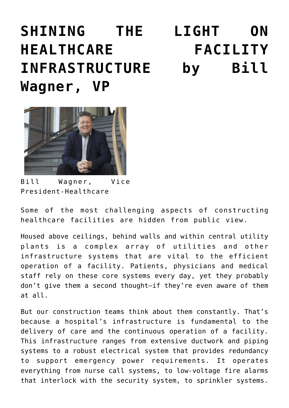## **[SHINING THE LIGHT ON](https://smwilson.com/news/shining-light-healthcare-facility-infrastructure) [HEALTHCARE FACILITY](https://smwilson.com/news/shining-light-healthcare-facility-infrastructure) [INFRASTRUCTURE by Bill](https://smwilson.com/news/shining-light-healthcare-facility-infrastructure) [Wagner, VP](https://smwilson.com/news/shining-light-healthcare-facility-infrastructure)**



Bill Wagner, Vice President-Healthcare

Some of the most challenging aspects of constructing healthcare facilities are hidden from public view.

Housed above ceilings, behind walls and within central utility plants is a complex array of utilities and other infrastructure systems that are vital to the efficient operation of a facility. Patients, physicians and medical staff rely on these core systems every day, yet they probably don't give them a second thought—if they're even aware of them at all.

But our construction teams think about them constantly. That's because a hospital's infrastructure is fundamental to the delivery of care and the continuous operation of a facility. This infrastructure ranges from extensive ductwork and piping systems to a robust electrical system that provides redundancy to support emergency power requirements. It operates everything from nurse call systems, to low-voltage fire alarms that interlock with the security system, to sprinkler systems.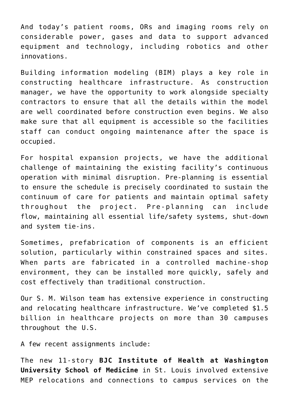And today's patient rooms, ORs and imaging rooms rely on considerable power, gases and data to support advanced equipment and technology, including robotics and other innovations.

Building information modeling (BIM) plays a key role in constructing healthcare infrastructure. As construction manager, we have the opportunity to work alongside specialty contractors to ensure that all the details within the model are well coordinated before construction even begins. We also make sure that all equipment is accessible so the facilities staff can conduct ongoing maintenance after the space is occupied.

For hospital expansion projects, we have the additional challenge of maintaining the existing facility's continuous operation with minimal disruption. Pre-planning is essential to ensure the schedule is precisely coordinated to sustain the continuum of care for patients and maintain optimal safety throughout the project. Pre-planning can include flow, maintaining all essential life/safety systems, shut-down and system tie-ins.

Sometimes, prefabrication of components is an efficient solution, particularly within constrained spaces and sites. When parts are fabricated in a controlled machine-shop environment, they can be installed more quickly, safely and cost effectively than traditional construction.

Our S. M. Wilson team has extensive experience in constructing and relocating healthcare infrastructure. We've completed \$1.5 billion in healthcare projects on more than 30 campuses throughout the U.S.

A few recent assignments include:

The new 11-story **BJC Institute of Health at Washington University School of Medicine** in St. Louis involved extensive MEP relocations and connections to campus services on the